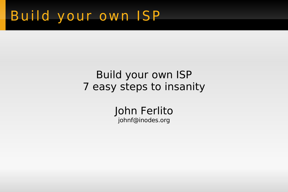## Build your own ISP

#### Build your own ISP 7 easy steps to insanity

John Ferlito johnf@inodes.org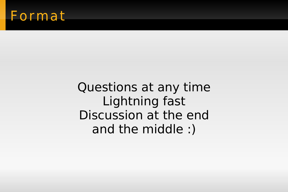#### Format

Questions at any time Lightning fast Discussion at the end and the middle :)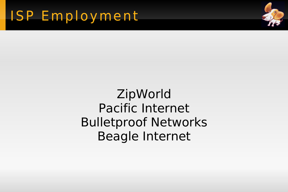

#### **ZipWorld** Pacific Internet Bulletproof Networks Beagle Internet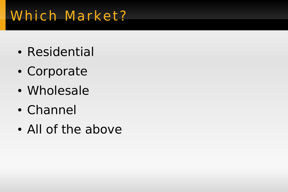## Which Market?

- Residential
- Corporate
- Wholesale
- Channel
- All of the above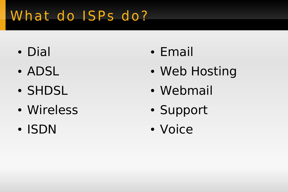# What do ISPs do?

- Dial
- ADSL
- SHDSL
- Wireless
- ISDN
- Email
- Web Hosting
- Webmail
- Support
- Voice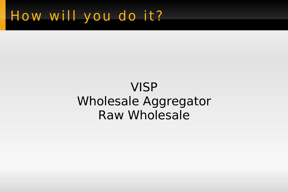### How will you do it?

#### **VISP Wholesale Aggregator Raw Wholesale**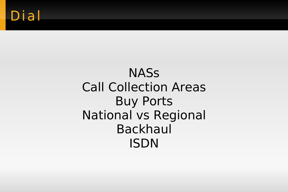#### **NASS** Call Collection Areas Buy Ports National vs Regional Backhaul ISDN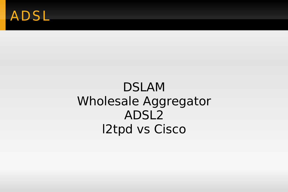### ADSL

#### DSLAM Wholesale Aggregator ADSL2 l2tpd vs Cisco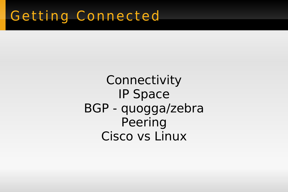### Getting Connected

**Connectivity** IP Space BGP - quogga/zebra Peering Cisco vs Linux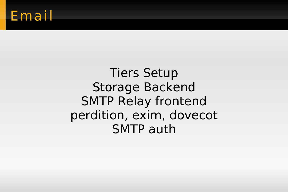#### Email

**Tiers Setup Storage Backend SMTP Relay frontend** perdition, exim, dovecot **SMTP** auth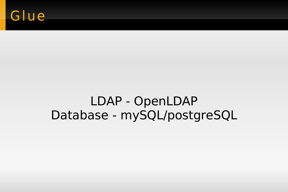### Glue

#### LDAP - OpenLDAP Database - mySQL/postgreSQL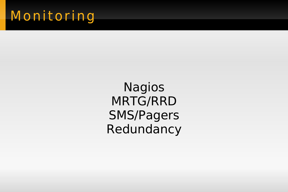## Monitoring

Nagios MRTG/RRD SMS/Pagers Redundancy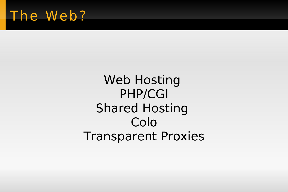### The Web?

Web Hosting PHP/CGI Shared Hosting Colo Transparent Proxies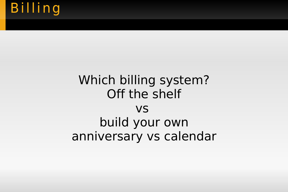## **Billing**

#### Which billing system? Off the shelf vs build your own anniversary vs calendar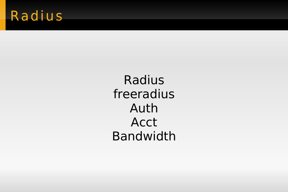## Radius

Radius freeradius Auth **Acct Bandwidth**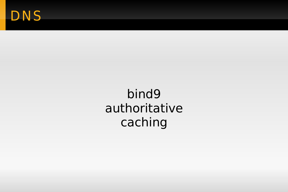### DNS

bind9 authoritative caching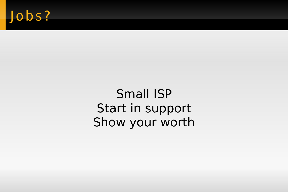# Jobs?

Small ISP Start in support Show your worth